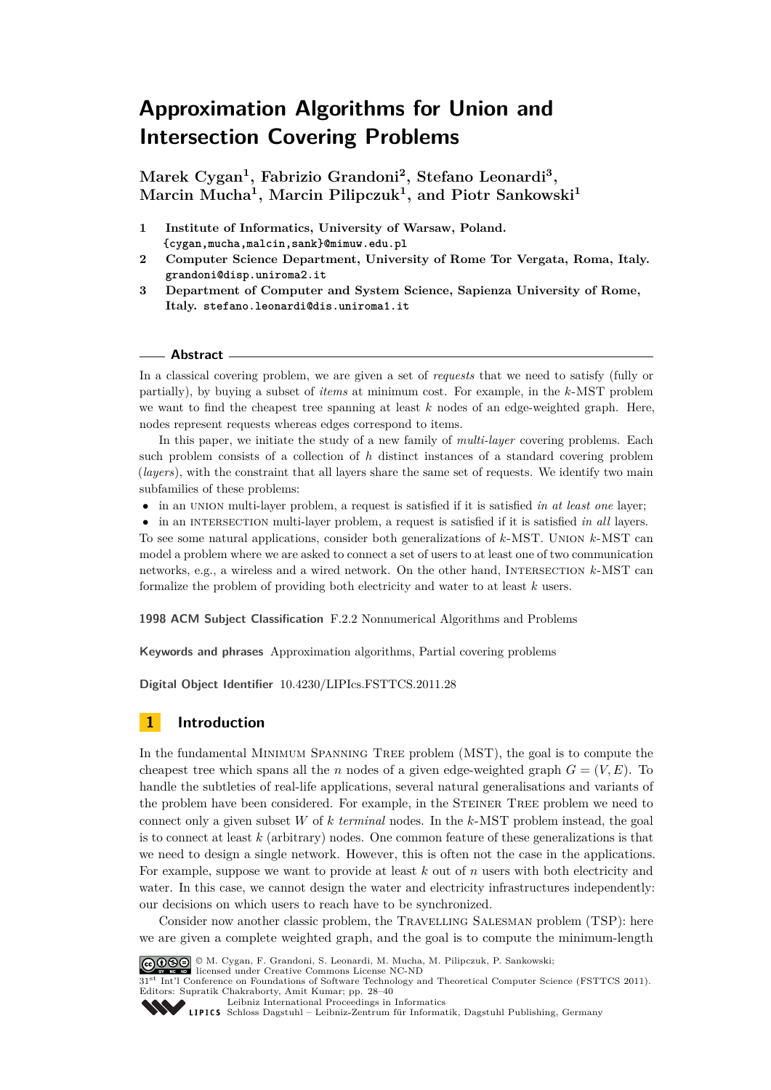# <span id="page-0-0"></span>**Approximation Algorithms for Union and Intersection Covering Problems**

**Marek Cygan<sup>1</sup> , Fabrizio Grandoni<sup>2</sup> , Stefano Leonardi<sup>3</sup> , Marcin Mucha<sup>1</sup> , Marcin Pilipczuk<sup>1</sup> , and Piotr Sankowski<sup>1</sup>**

- **1 Institute of Informatics, University of Warsaw, Poland. {cygan,mucha,malcin,sank}@mimuw.edu.pl**
- **2 Computer Science Department, University of Rome Tor Vergata, Roma, Italy. grandoni@disp.uniroma2.it**
- **3 Department of Computer and System Science, Sapienza University of Rome, Italy. stefano.leonardi@dis.uniroma1.it**

#### **Abstract**

In a classical covering problem, we are given a set of *requests* that we need to satisfy (fully or partially), by buying a subset of *items* at minimum cost. For example, in the *k*-MST problem we want to find the cheapest tree spanning at least *k* nodes of an edge-weighted graph. Here, nodes represent requests whereas edges correspond to items.

In this paper, we initiate the study of a new family of *multi-layer* covering problems. Each such problem consists of a collection of *h* distinct instances of a standard covering problem (*layers*), with the constraint that all layers share the same set of requests. We identify two main subfamilies of these problems:

• in an union multi-layer problem, a request is satisfied if it is satisfied *in at least one* layer;

• in an intersection multi-layer problem, a request is satisfied if it is satisfied *in all* layers. To see some natural applications, consider both generalizations of *k*-MST. Union *k*-MST can model a problem where we are asked to connect a set of users to at least one of two communication networks, e.g., a wireless and a wired network. On the other hand, Intersection *k*-MST can formalize the problem of providing both electricity and water to at least *k* users.

**1998 ACM Subject Classification** F.2.2 Nonnumerical Algorithms and Problems

**Keywords and phrases** Approximation algorithms, Partial covering problems

**Digital Object Identifier** [10.4230/LIPIcs.FSTTCS.2011.28](http://dx.doi.org/10.4230/LIPIcs.FSTTCS.2011.28)

# **1 Introduction**

In the fundamental Minimum Spanning Tree problem (MST), the goal is to compute the cheapest tree which spans all the *n* nodes of a given edge-weighted graph  $G = (V, E)$ . To handle the subtleties of real-life applications, several natural generalisations and variants of the problem have been considered. For example, in the STEINER TREE problem we need to connect only a given subset *W* of *k terminal* nodes. In the *k*-MST problem instead, the goal is to connect at least *k* (arbitrary) nodes. One common feature of these generalizations is that we need to design a single network. However, this is often not the case in the applications. For example, suppose we want to provide at least *k* out of *n* users with both electricity and water. In this case, we cannot design the water and electricity infrastructures independently: our decisions on which users to reach have to be synchronized.

Consider now another classic problem, the Travelling Salesman problem (TSP): here we are given a complete weighted graph, and the goal is to compute the minimum-length



© M. Cygan, F. Grandoni, S. Leonardi, M. Mucha, M. Pilipczuk, P. Sankowski; licensed under Creative Commons License NC-ND

31<sup>st</sup> Int'l Conference on Foundations of Software Technology and Theoretical Computer Science (FSTTCS 2011).

Editors: Supratik Chakraborty, Amit Kumar; pp. 28[–40](#page-12-0)

[Leibniz International Proceedings in Informatics](http://www.dagstuhl.de/lipics/) Leibniz international Froceedings in informatik, Dagstuhl Publishing, Germany<br>LIPICS [Schloss Dagstuhl – Leibniz-Zentrum für Informatik, Dagstuhl Publishing, Germany](http://www.dagstuhl.de)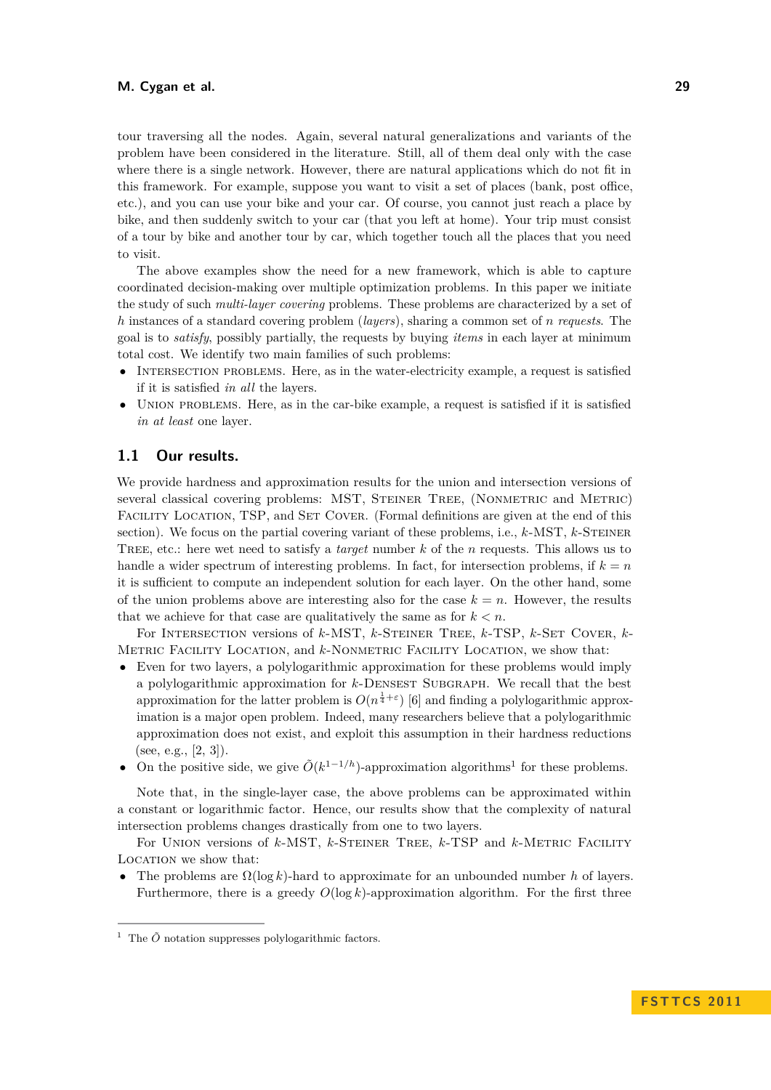tour traversing all the nodes. Again, several natural generalizations and variants of the problem have been considered in the literature. Still, all of them deal only with the case where there is a single network. However, there are natural applications which do not fit in this framework. For example, suppose you want to visit a set of places (bank, post office, etc.), and you can use your bike and your car. Of course, you cannot just reach a place by bike, and then suddenly switch to your car (that you left at home). Your trip must consist of a tour by bike and another tour by car, which together touch all the places that you need to visit.

The above examples show the need for a new framework, which is able to capture coordinated decision-making over multiple optimization problems. In this paper we initiate the study of such *multi-layer covering* problems. These problems are characterized by a set of *h* instances of a standard covering problem (*layers*), sharing a common set of *n requests*. The goal is to *satisfy*, possibly partially, the requests by buying *items* in each layer at minimum total cost. We identify two main families of such problems:

- INTERSECTION PROBLEMS. Here, as in the water-electricity example, a request is satisfied if it is satisfied *in all* the layers.
- UNION PROBLEMS. Here, as in the car-bike example, a request is satisfied if it is satisfied *in at least* one layer.

# **1.1 Our results.**

We provide hardness and approximation results for the union and intersection versions of several classical covering problems: MST, STEINER TREE, (NONMETRIC and METRIC) FACILITY LOCATION, TSP, and SET COVER. (Formal definitions are given at the end of this section). We focus on the partial covering variant of these problems, i.e., *k*-MST, *k*-Steiner Tree, etc.: here wet need to satisfy a *target* number *k* of the *n* requests. This allows us to handle a wider spectrum of interesting problems. In fact, for intersection problems, if  $k = n$ it is sufficient to compute an independent solution for each layer. On the other hand, some of the union problems above are interesting also for the case  $k = n$ . However, the results that we achieve for that case are qualitatively the same as for  $k < n$ .

For Intersection versions of *k*-MST, *k*-Steiner Tree, *k*-TSP, *k*-Set Cover, *k*-Metric Facility Location, and *k*-Nonmetric Facility Location, we show that:

- Even for two layers, a polylogarithmic approximation for these problems would imply a polylogarithmic approximation for *k*-Densest Subgraph. We recall that the best approximation for the latter problem is  $O(n^{\frac{1}{4}+\varepsilon})$  [\[6\]](#page-11-0) and finding a polylogarithmic approximation is a major open problem. Indeed, many researchers believe that a polylogarithmic approximation does not exist, and exploit this assumption in their hardness reductions (see, e.g.,  $[2, 3]$  $[2, 3]$ ).
- On the positive side, we give  $\tilde{O}(k^{1-1/h})$ -approximation algorithms<sup>1</sup> for these problems.

Note that, in the single-layer case, the above problems can be approximated within a constant or logarithmic factor. Hence, our results show that the complexity of natural intersection problems changes drastically from one to two layers.

For Union versions of *k*-MST, *k*-Steiner Tree, *k*-TSP and *k*-Metric Facility LOCATION we show that:

• The problems are  $\Omega(\log k)$ -hard to approximate for an unbounded number h of layers. Furthermore, there is a greedy  $O(\log k)$ -approximation algorithm. For the first three

<sup>&</sup>lt;sup>1</sup> The  $\tilde{O}$  notation suppresses polylogarithmic factors.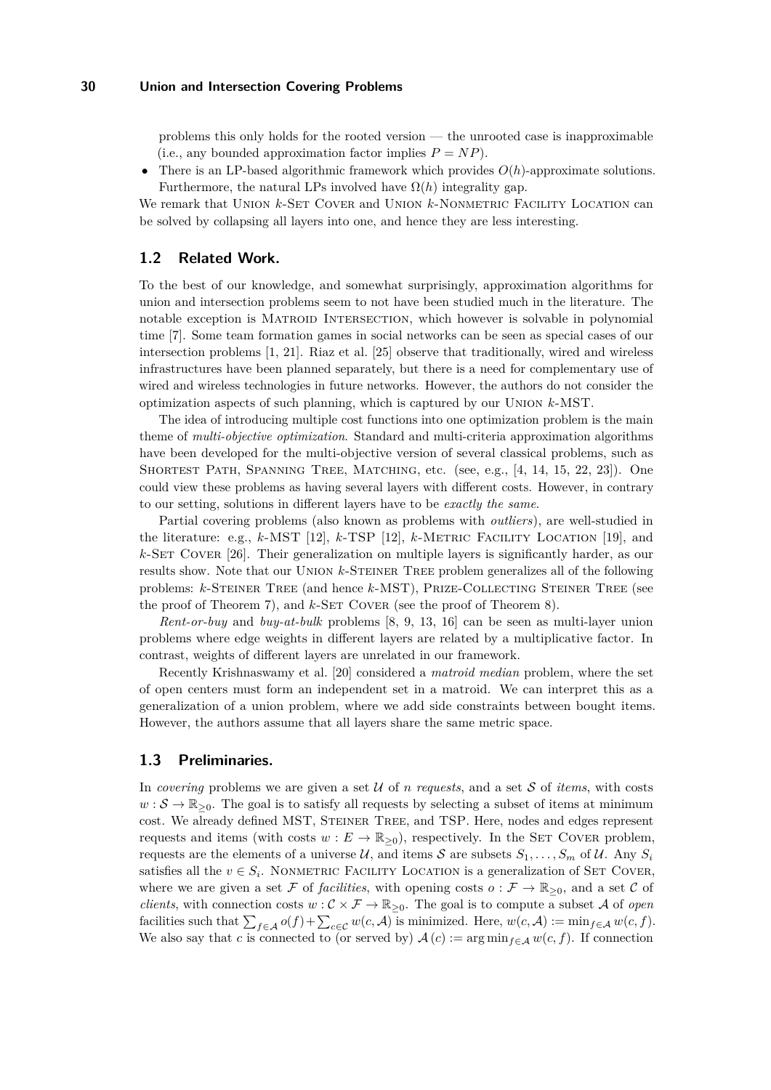problems this only holds for the rooted version — the unrooted case is inapproximable (i.e., any bounded approximation factor implies  $P = NP$ ).

• There is an LP-based algorithmic framework which provides *O*(*h*)-approximate solutions. Furthermore, the natural LPs involved have  $\Omega(h)$  integrality gap.

We remark that UNION  $k$ -SET COVER and UNION  $k$ -NONMETRIC FACILITY LOCATION can be solved by collapsing all layers into one, and hence they are less interesting.

# **1.2 Related Work.**

To the best of our knowledge, and somewhat surprisingly, approximation algorithms for union and intersection problems seem to not have been studied much in the literature. The notable exception is Matroid Intersection, which however is solvable in polynomial time [\[7\]](#page-11-3). Some team formation games in social networks can be seen as special cases of our intersection problems [\[1,](#page-11-4) [21\]](#page-11-5). Riaz et al. [\[25\]](#page-12-1) observe that traditionally, wired and wireless infrastructures have been planned separately, but there is a need for complementary use of wired and wireless technologies in future networks. However, the authors do not consider the optimization aspects of such planning, which is captured by our Union *k*-MST.

The idea of introducing multiple cost functions into one optimization problem is the main theme of *multi-objective optimization*. Standard and multi-criteria approximation algorithms have been developed for the multi-objective version of several classical problems, such as SHORTEST PATH, SPANNING TREE, MATCHING, etc. (see, e.g., [\[4,](#page-11-6) [14,](#page-11-7) [15,](#page-11-8) [22,](#page-11-9) [23\]](#page-12-2)). One could view these problems as having several layers with different costs. However, in contrary to our setting, solutions in different layers have to be *exactly the same*.

Partial covering problems (also known as problems with *outliers*), are well-studied in the literature: e.g., *k*-MST [\[12\]](#page-11-10), *k*-TSP [\[12\]](#page-11-10), *k*-Metric Facility Location [\[19\]](#page-11-11), and *k*-Set Cover [\[26\]](#page-12-3). Their generalization on multiple layers is significantly harder, as our results show. Note that our Union *k*-Steiner Tree problem generalizes all of the following problems: *k*-Steiner Tree (and hence *k*-MST), Prize-Collecting Steiner Tree (see the proof of Theorem [7\)](#page-6-0), and  $k$ -SET COVER (see the proof of Theorem [8\)](#page-7-0).

*Rent-or-buy* and *buy-at-bulk* problems [\[8,](#page-11-12) [9,](#page-11-13) [13,](#page-11-14) [16\]](#page-11-15) can be seen as multi-layer union problems where edge weights in different layers are related by a multiplicative factor. In contrast, weights of different layers are unrelated in our framework.

Recently Krishnaswamy et al. [\[20\]](#page-11-16) considered a *matroid median* problem, where the set of open centers must form an independent set in a matroid. We can interpret this as a generalization of a union problem, where we add side constraints between bought items. However, the authors assume that all layers share the same metric space.

# **1.3 Preliminaries.**

In *covering* problems we are given a set  $\mathcal U$  of *n requests*, and a set  $\mathcal S$  of *items*, with costs  $w : \mathcal{S} \to \mathbb{R}_{\geq 0}$ . The goal is to satisfy all requests by selecting a subset of items at minimum cost. We already defined MST, Steiner Tree, and TSP. Here, nodes and edges represent requests and items (with costs  $w : E \to \mathbb{R}_{\geq 0}$ ), respectively. In the SET COVER problem, requests are the elements of a universe  $U$ , and items S are subsets  $S_1, \ldots, S_m$  of U. Any  $S_i$ satisfies all the  $v \in S_i$ . NONMETRIC FACILITY LOCATION is a generalization of SET COVER, where we are given a set F of *facilities*, with opening costs  $o : \mathcal{F} \to \mathbb{R}_{\geq 0}$ , and a set C of *clients*, with connection costs  $w : C \times F \to \mathbb{R}_{\geq 0}$ . The goal is to compute a subset A of *open* facilities such that  $\sum_{f \in \mathcal{A}} o(f) + \sum_{c \in \mathcal{C}} w(c, \mathcal{A})$  is minimized. Here,  $w(c, \mathcal{A}) := \min_{f \in \mathcal{A}} w(c, f)$ . We also say that *c* is connected to (or served by)  $A(c) := \arg \min_{f \in A} w(c, f)$ . If connection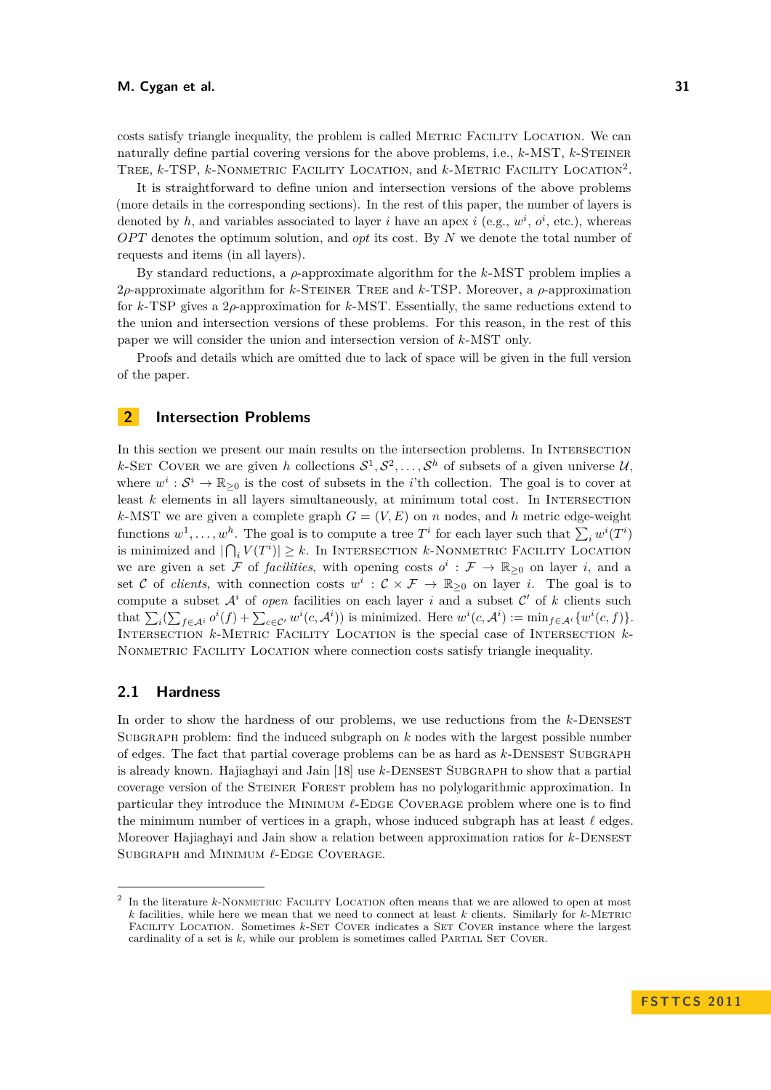costs satisfy triangle inequality, the problem is called Metric Facility Location. We can naturally define partial covering versions for the above problems, i.e., *k*-MST, *k*-Steiner TREE, *k*-TSP, *k*-NONMETRIC FACILITY LOCATION, and *k*-METRIC FACILITY LOCATION<sup>2</sup>.

It is straightforward to define union and intersection versions of the above problems (more details in the corresponding sections). In the rest of this paper, the number of layers is denoted by h, and variables associated to layer i have an apex i (e.g.,  $w^i$ ,  $o^i$ , etc.), whereas *OPT* denotes the optimum solution, and *opt* its cost. By *N* we denote the total number of requests and items (in all layers).

By standard reductions, a  $\rho$ -approximate algorithm for the  $k$ -MST problem implies a 2*ρ*-approximate algorithm for *k*-Steiner Tree and *k*-TSP. Moreover, a *ρ*-approximation for *k*-TSP gives a 2*ρ*-approximation for *k*-MST. Essentially, the same reductions extend to the union and intersection versions of these problems. For this reason, in the rest of this paper we will consider the union and intersection version of *k*-MST only.

Proofs and details which are omitted due to lack of space will be given in the full version of the paper.

# **2 Intersection Problems**

In this section we present our main results on the intersection problems. In Intersection *k*-SET COVER we are given *h* collections  $S^1, S^2, \ldots, S^h$  of subsets of a given universe U, where  $w^i: \mathcal{S}^i \to \mathbb{R}_{\geq 0}$  is the cost of subsets in the *i*'th collection. The goal is to cover at least *k* elements in all layers simultaneously, at minimum total cost. In INTERSECTION *k*-MST we are given a complete graph  $G = (V, E)$  on *n* nodes, and *h* metric edge-weight functions  $w^1, \ldots, w^h$ . The goal is to compute a tree  $T^i$  for each layer such that  $\sum_i w^i(T^i)$ is minimized and  $|\bigcap_i V(T^i)| \geq k$ . In INTERSECTION *k*-NONMETRIC FACILITY LOCATION we are given a set  $\tilde{\mathcal{F}}$  of *facilities*, with opening costs  $o^i : \mathcal{F} \to \mathbb{R}_{\geq 0}$  on layer *i*, and a set C of *clients*, with connection costs  $w^i$  :  $\mathcal{C} \times \mathcal{F} \to \mathbb{R}_{\geq 0}$  on layer *i*. The goal is to compute a subset  $A^i$  of *open* facilities on each layer *i* and a subset  $C'$  of *k* clients such that  $\sum_i (\sum_{f \in A^i} o^i(f) + \sum_{c \in C'} w^i(c, A^i))$  is minimized. Here  $w^i(c, A^i) := \min_{f \in A^i} \{w^i(c, f)\}.$ Intersection *k*-Metric Facility Location is the special case of Intersection *k*-Nonmetric Facility Location where connection costs satisfy triangle inequality.

# **2.1 Hardness**

In order to show the hardness of our problems, we use reductions from the *k*-DENSEST Subgraph problem: find the induced subgraph on *k* nodes with the largest possible number of edges. The fact that partial coverage problems can be as hard as *k*-Densest Subgraph is already known. Hajiaghayi and Jain [\[18\]](#page-11-17) use  $k$ -DENSEST SUBGRAPH to show that a partial coverage version of the Steiner Forest problem has no polylogarithmic approximation. In particular they introduce the MINIMUM  $\ell$ -EDGE COVERAGE problem where one is to find the minimum number of vertices in a graph, whose induced subgraph has at least  $\ell$  edges. Moreover Hajiaghayi and Jain show a relation between approximation ratios for *k*-Densest SUBGRAPH and MINIMUM  $\ell$ -EDGE COVERAGE.

<sup>2</sup> In the literature *k*-NONMETRIC FACILITY LOCATION often means that we are allowed to open at most *k* facilities, while here we mean that we need to connect at least *k* clients. Similarly for *k*-Metric FACILITY LOCATION. Sometimes *k*-SET COVER indicates a SET COVER instance where the largest cardinality of a set is  $k$ , while our problem is sometimes called PARTIAL SET COVER.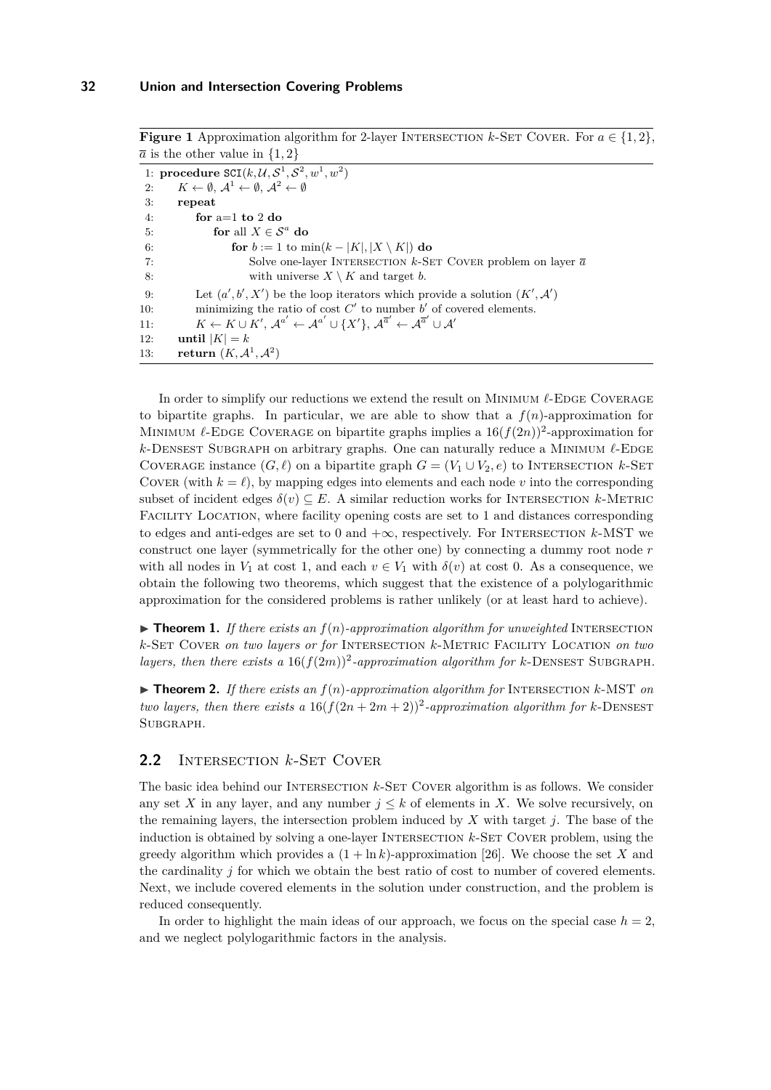**Figure 1** Approximation algorithm for 2-layer INTERSECTION *k*-SET COVER. For  $a \in \{1, 2\}$ ,  $\overline{a}$  is the other value in  $\{1,2\}$ 

```
1: procedure \texttt{SCI}(k, \mathcal{U}, \mathcal{S}^1, \mathcal{S}^2, w^1, w^2)2: K \leftarrow \emptyset, \mathcal{A}^1 \leftarrow \emptyset, \mathcal{A}^2 \leftarrow \emptyset3: repeat
 4: for a=1 to 2 do
 5: for all X \in \mathcal{S}^a do
 6: for b := 1 to \min(k - |K|, |X \setminus K|) do
 7: Solve one-layer Intersection k-Set Cover problem on layer a
 8: with universe X \setminus K and target b.
 9: Let (a', b', X') be the loop iterators which provide a solution (K', A')10: minimizing the ratio of cost C' to number b' of covered elements.
11: K \leftarrow K \cup K', A^{a'} \leftarrow A^{a'} \cup \{X'\}, A^{\overline{a}'} \leftarrow A^{\overline{a}'} \cup A'12: until |K| = k13: return (K, \mathcal{A}^1, \mathcal{A}^2)
```
In order to simplify our reductions we extend the result on MINIMUM  $\ell$ -EDGE COVERAGE to bipartite graphs. In particular, we are able to show that a  $f(n)$ -approximation for MINIMUM  $\ell$ -EDGE COVERAGE on bipartite graphs implies a  $16(f(2n))^2$ -approximation for  $k$ -Densest Subgraph on arbitrary graphs. One can naturally reduce a MINIMUM  $\ell$ -EDGE COVERAGE instance  $(G, \ell)$  on a bipartite graph  $G = (V_1 \cup V_2, e)$  to INTERSECTION *k*-SET COVER (with  $k = \ell$ ), by mapping edges into elements and each node *v* into the corresponding subset of incident edges  $\delta(v) \subseteq E$ . A similar reduction works for INTERSECTION *k*-METRIC FACILITY LOCATION, where facility opening costs are set to 1 and distances corresponding to edges and anti-edges are set to 0 and  $+\infty$ , respectively. For INTERSECTION  $k$ -MST we construct one layer (symmetrically for the other one) by connecting a dummy root node *r* with all nodes in  $V_1$  at cost 1, and each  $v \in V_1$  with  $\delta(v)$  at cost 0. As a consequence, we obtain the following two theorems, which suggest that the existence of a polylogarithmic approximation for the considered problems is rather unlikely (or at least hard to achieve).

 $\triangleright$  **Theorem 1.** If there exists an  $f(n)$ -approximation algorithm for unweighted INTERSECTION *k*-Set Cover *on two layers or for* Intersection *k*-Metric Facility Location *on two* layers, then there exists a  $16(f(2m))^2$ -approximation algorithm for *k*-DENSEST SUBGRAPH.

I **Theorem 2.** *If there exists an f*(*n*)*-approximation algorithm for* Intersection *k*-MST *on two layers, then there exists a*  $16(f(2n+2m+2))^2$ -approximation algorithm for *k*-DENSEST Subgraph*.*

# **2.2** Intersection *k*-Set Cover

The basic idea behind our Intersection *k*-Set Cover algorithm is as follows. We consider any set *X* in any layer, and any number  $j \leq k$  of elements in *X*. We solve recursively, on the remaining layers, the intersection problem induced by *X* with target *j*. The base of the induction is obtained by solving a one-layer INTERSECTION *k*-SET COVER problem, using the greedy algorithm which provides a  $(1 + \ln k)$ -approximation [\[26\]](#page-12-3). We choose the set *X* and the cardinality *j* for which we obtain the best ratio of cost to number of covered elements. Next, we include covered elements in the solution under construction, and the problem is reduced consequently.

In order to highlight the main ideas of our approach, we focus on the special case  $h = 2$ , and we neglect polylogarithmic factors in the analysis.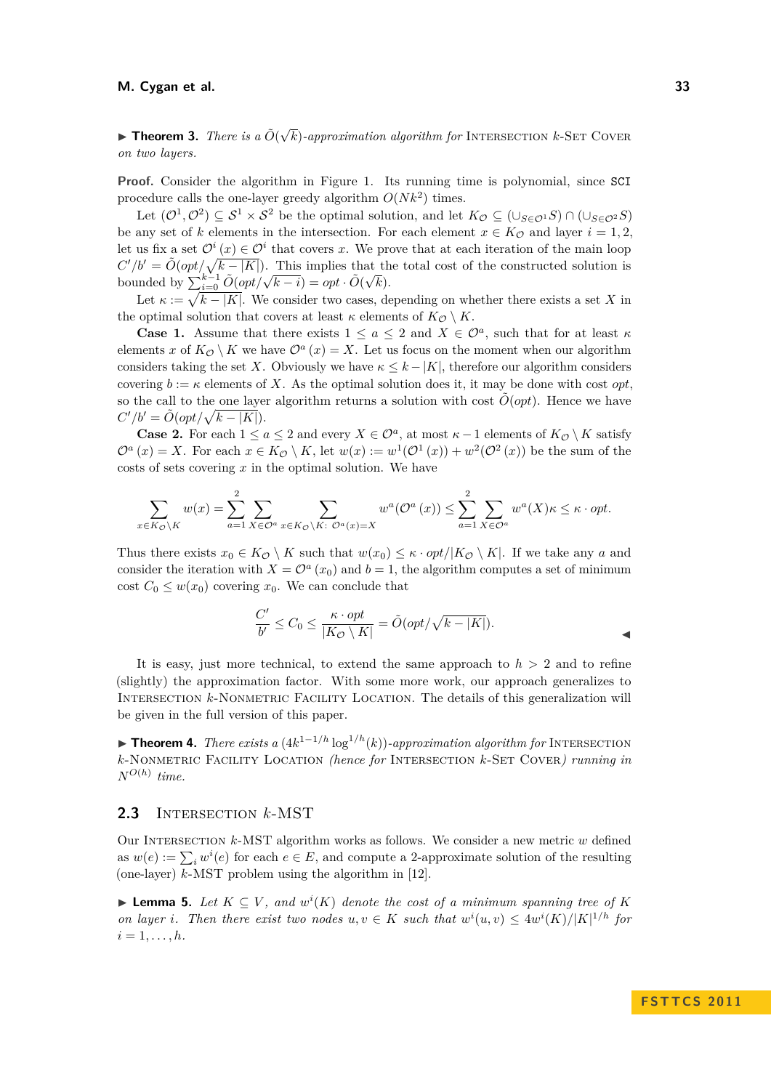**Fineorem 3.** *There is a*  $\tilde{O}(\sqrt{k})$ -approximation algorithm for INTERSECTION *k*-SET COVER *on two layers.*

**Proof.** Consider the algorithm in Figure [1.](#page-0-0) Its running time is polynomial, since SCI procedure calls the one-layer greedy algorithm  $O(Nk^2)$  times.

Let  $(\mathcal{O}^1, \mathcal{O}^2) \subseteq S^1 \times S^2$  be the optimal solution, and let  $K_{\mathcal{O}} \subseteq (\cup_{S \in \mathcal{O}^1} S) \cap (\cup_{S \in \mathcal{O}^2} S)$ be any set of *k* elements in the intersection. For each element  $x \in K_{\mathcal{O}}$  and layer  $i = 1, 2$ , let us fix a set  $\mathcal{O}^i(x) \in \mathcal{O}^i$  that covers *x*. We prove that at each iteration of the main loop  $C'/b' = \tilde{O}(\frac{opt}{\sqrt{k-|K|}})$ . This implies that the total cost of the constructed solution is bounded by  $\sum_{i=0}^{k-1} \tilde{O}(\rho pt/\sqrt{k-i}) = opt \cdot \tilde{O}(\sqrt{k}).$ 

Let  $\kappa := \sqrt{k - |K|}$ . We consider two cases, depending on whether there exists a set *X* in the optimal solution that covers at least  $\kappa$  elements of  $K_{\mathcal{O}} \setminus K$ .

**Case 1.** Assume that there exists  $1 \le a \le 2$  and  $X \in \mathcal{O}^a$ , such that for at least  $\kappa$ elements *x* of  $K_{\mathcal{O}} \setminus K$  we have  $\mathcal{O}^a(x) = X$ . Let us focus on the moment when our algorithm considers taking the set *X*. Obviously we have  $\kappa \leq k - |K|$ , therefore our algorithm considers covering  $b := \kappa$  elements of X. As the optimal solution does it, it may be done with cost *opt*. so the call to the one layer algorithm returns a solution with cost  $\tilde{O}(\rho pt)$ . Hence we have  $C'/b' = \tilde{O}(\rho pt/\sqrt{k-|K|}).$ 

**Case 2.** For each  $1 \le a \le 2$  and every  $X \in \mathcal{O}^a$ , at most  $\kappa - 1$  elements of  $K_{\mathcal{O}} \setminus K$  satisfy  $\mathcal{O}^a(x) = X$ . For each  $x \in K_{\mathcal{O}} \setminus K$ , let  $w(x) := w^1(\mathcal{O}^1(x)) + w^2(\mathcal{O}^2(x))$  be the sum of the costs of sets covering *x* in the optimal solution. We have

$$
\sum_{x \in K_{\mathcal{O}} \backslash K} w(x) = \sum_{a=1}^{2} \sum_{X \in \mathcal{O}^{a}} \sum_{x \in K_{\mathcal{O}} \backslash K: \ \mathcal{O}^{a}(x) = X} w^{a}(\mathcal{O}^{a}(x)) \le \sum_{a=1}^{2} \sum_{X \in \mathcal{O}^{a}} w^{a}(X) \kappa \le \kappa \cdot opt.
$$

Thus there exists  $x_0 \in K_{\mathcal{O}} \setminus K$  such that  $w(x_0) \leq \kappa \cdot opt/|K_{\mathcal{O}} \setminus K|$ . If we take any *a* and consider the iteration with  $X = \mathcal{O}^a(x_0)$  and  $b = 1$ , the algorithm computes a set of minimum cost  $C_0 \leq w(x_0)$  covering  $x_0$ . We can conclude that

$$
\frac{C'}{b'} \le C_0 \le \frac{\kappa \cdot opt}{|K_{\mathcal{O}} \setminus K|} = \tilde{O}(opt/\sqrt{k - |K|}).
$$

It is easy, just more technical, to extend the same approach to  $h > 2$  and to refine (slightly) the approximation factor. With some more work, our approach generalizes to INTERSECTION *k*-NONMETRIC FACILITY LOCATION. The details of this generalization will be given in the full version of this paper.

**► Theorem 4.** *There exists a*  $(4k^{1-1/h} \log^{1/h}(k))$ -approximation algorithm for INTERSECTION *k*-Nonmetric Facility Location *(hence for* Intersection *k*-Set Cover*) running in*  $N^{O(h)}$  *time.* 

#### **2.3** Intersection *k*-MST

Our Intersection *k*-MST algorithm works as follows. We consider a new metric *w* defined as  $w(e) := \sum_i w^i(e)$  for each  $e \in E$ , and compute a 2-approximate solution of the resulting (one-layer) *k*-MST problem using the algorithm in [\[12\]](#page-11-10).

<span id="page-5-0"></span>▶ **Lemma 5.** Let  $K ⊆ V$ , and  $w<sup>i</sup>(K)$  denote the cost of a minimum spanning tree of K *on layer i*. Then there exist two nodes  $u, v \in K$  such that  $w^i(u, v) \leq 4w^i(K)/|K|^{1/h}$  for  $i = 1, \ldots, h$ .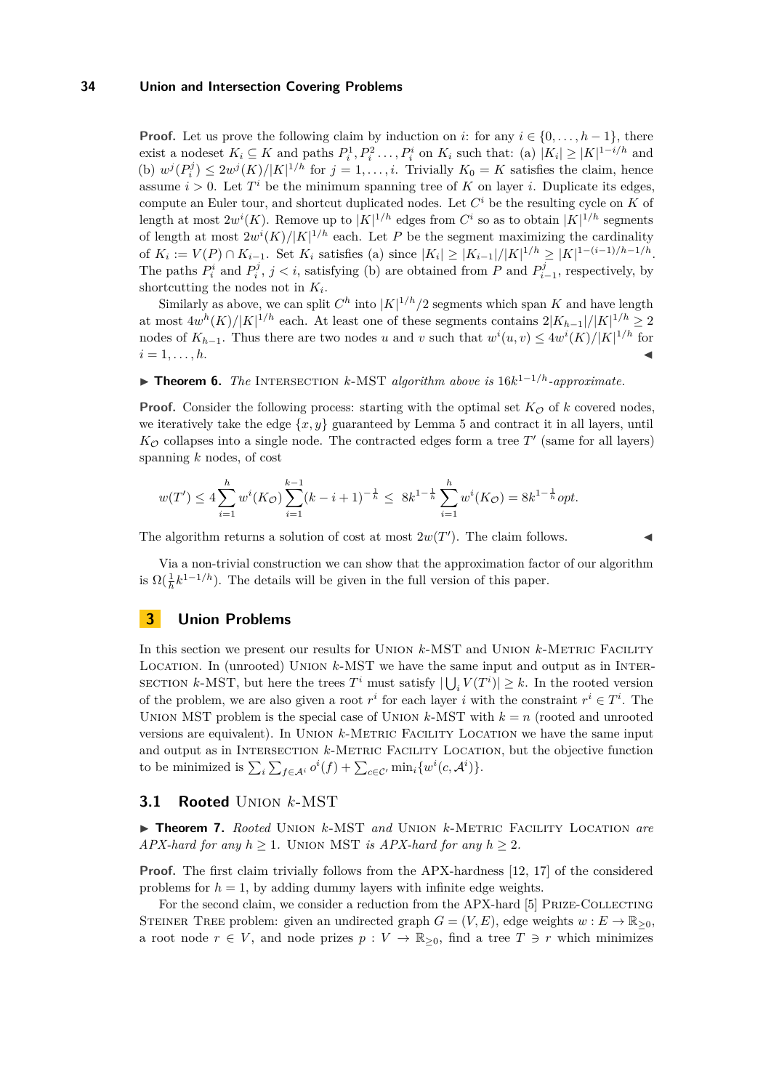**Proof.** Let us prove the following claim by induction on *i*: for any  $i \in \{0, \ldots, h-1\}$ , there exist a nodeset  $K_i \subseteq K$  and paths  $P_i^1, P_i^2, \ldots, P_i^i$  on  $K_i$  such that: (a)  $|K_i| \geq |K|^{1-i/h}$  and (b)  $w^j(P_i^j) \leq 2w^j(K)/|K|^{1/h}$  for  $j = 1, \ldots, i$ . Trivially  $K_0 = K$  satisfies the claim, hence assume  $i > 0$ . Let  $T<sup>i</sup>$  be the minimum spanning tree of K on layer *i*. Duplicate its edges, compute an Euler tour, and shortcut duplicated nodes. Let  $C<sup>i</sup>$  be the resulting cycle on  $K$  of length at most  $2w^{i}(K)$ . Remove up to  $|K|^{1/h}$  edges from  $C^{i}$  so as to obtain  $|K|^{1/h}$  segments of length at most  $2w^{i}(K)/|K|^{1/h}$  each. Let P be the segment maximizing the cardinality of  $K_i := V(P) \cap K_{i-1}$ . Set  $K_i$  satisfies (a) since  $|K_i| \ge |K_{i-1}|/|K|^{1/h} \ge |K|^{1-(i-1)/h-1/h}$ . The paths  $P_i^i$  and  $P_i^j$ ,  $j < i$ , satisfying (b) are obtained from *P* and  $P_{i-1}^j$ , respectively, by shortcutting the nodes not in *K<sup>i</sup>* .

Similarly as above, we can split  $C^h$  into  $|K|^{1/h}/2$  segments which span K and have length at most  $4w<sup>h</sup>(K)/|K|<sup>1/h</sup>$  each. At least one of these segments contains  $2|K_{h-1}|/|K|<sup>1/h</sup> \geq 2$ nodes of  $K_{h-1}$ . Thus there are two nodes *u* and *v* such that  $w^{i}(u, v) \leq 4w^{i}(K)/|K|^{1/h}$  for  $i = 1, \ldots, h$ .

I **Theorem 6.** *The* Intersection *k*-MST *algorithm above is* 16*k* <sup>1</sup>−1*/h-approximate.*

**Proof.** Consider the following process: starting with the optimal set  $K_{\mathcal{O}}$  of *k* covered nodes, we iteratively take the edge  $\{x, y\}$  guaranteed by Lemma [5](#page-5-0) and contract it in all layers, until  $K_{\mathcal{O}}$  collapses into a single node. The contracted edges form a tree  $T'$  (same for all layers) spanning *k* nodes, of cost

$$
w(T') \le 4\sum_{i=1}^h w^i(K_{\mathcal{O}}) \sum_{i=1}^{k-1} (k-i+1)^{-\frac{1}{h}} \le 8k^{1-\frac{1}{h}} \sum_{i=1}^h w^i(K_{\mathcal{O}}) = 8k^{1-\frac{1}{h}} opt.
$$

The algorithm returns a solution of cost at most  $2w(T')$ . The claim follows.

Via a non-trivial construction we can show that the approximation factor of our algorithm is  $\Omega(\frac{1}{h}k^{1-1/h})$ . The details will be given in the full version of this paper.

# **3 Union Problems**

In this section we present our results for UNION  $k$ -MST and UNION  $k$ -METRIC FACILITY Location. In (unrooted) Union *k*-MST we have the same input and output as in Inter-SECTION  $k$ -MST, but here the trees  $T^i$  must satisfy  $|\bigcup_i V(T^i)| \geq k$ . In the rooted version of the problem, we are also given a root  $r^i$  for each layer *i* with the constraint  $r^i \in T^i$ . The UNION MST problem is the special case of UNION  $k$ -MST with  $k = n$  (rooted and unrooted versions are equivalent). In Union *k*-Metric Facility Location we have the same input and output as in INTERSECTION  $k$ -METRIC FACILITY LOCATION, but the objective function to be minimized is  $\sum_i \sum_{f \in A^i} o^i(f) + \sum_{c \in C'} \min_i \{w^i(c, A^i)\}.$ 

#### **3.1 Rooted** Union *k*-MST

<span id="page-6-0"></span>▶ **Theorem 7.** *Rooted* UNION *k*-MST *and* UNION *k*-METRIC FACILITY LOCATION *are APX-hard for any*  $h \geq 1$ . UNION MST *is APX-hard for any*  $h \geq 2$ .

**Proof.** The first claim trivially follows from the APX-hardness [\[12,](#page-11-10) [17\]](#page-11-18) of the considered problems for  $h = 1$ , by adding dummy layers with infinite edge weights.

For the second claim, we consider a reduction from the APX-hard [\[5\]](#page-11-19) PRIZE-COLLECTING STEINER TREE problem: given an undirected graph  $G = (V, E)$ , edge weights  $w : E \to \mathbb{R}_{\geq 0}$ , a root node  $r \in V$ , and node prizes  $p: V \to \mathbb{R}_{\geq 0}$ , find a tree  $T \ni r$  which minimizes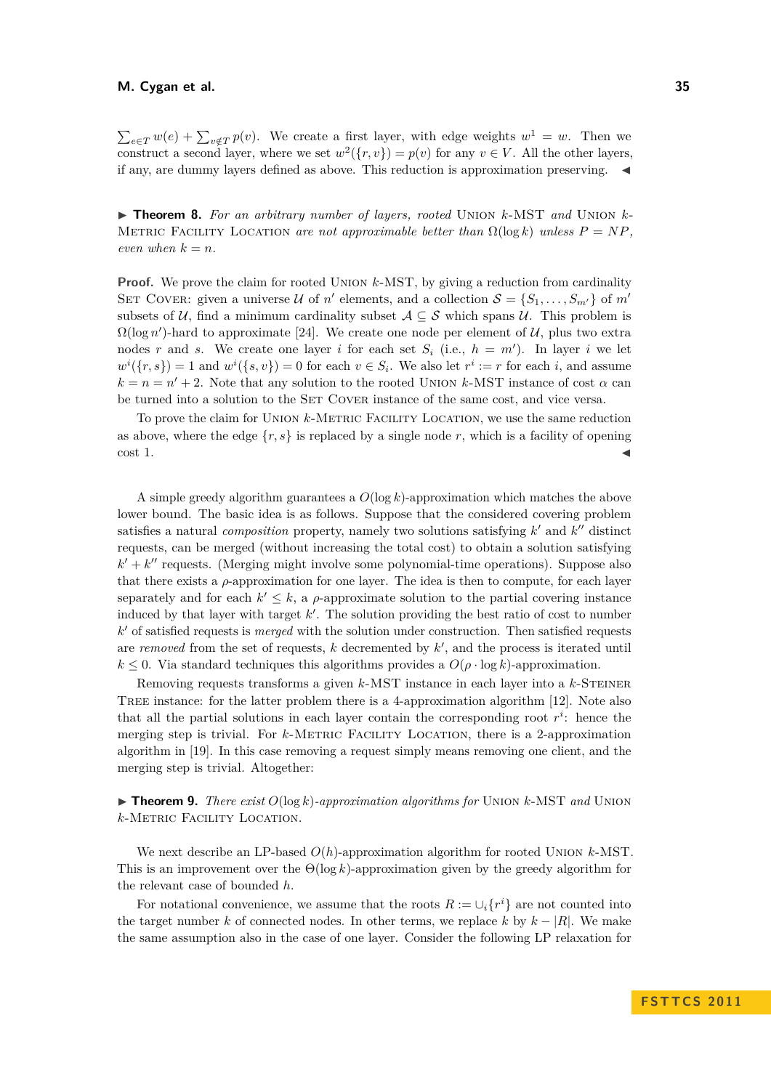$\sum_{e \in T} w(e) + \sum_{v \notin T} p(v)$ . We create a first layer, with edge weights  $w^1 = w$ . Then we construct a second layer, where we set  $w^2({r, v}) = p(v)$  for any  $v \in V$ . All the other layers, if any, are dummy layers defined as above. This reduction is approximation preserving.  $\triangleleft$ 

<span id="page-7-0"></span>I **Theorem 8.** *For an arbitrary number of layers, rooted* Union *k*-MST *and* Union *k*-METRIC FACILITY LOCATION are not approximable better than  $\Omega(\log k)$  unless  $P = NP$ . *even when*  $k = n$ *.* 

**Proof.** We prove the claim for rooted UNION  $k$ -MST, by giving a reduction from cardinality SET COVER: given a universe U of *n*<sup>'</sup> elements, and a collection  $S = \{S_1, \ldots, S_{m'}\}$  of *m*<sup>'</sup> subsets of U, find a minimum cardinality subset  $A \subseteq S$  which spans U. This problem is  $\Omega(\log n')$ -hard to approximate [\[24\]](#page-12-4). We create one node per element of U, plus two extra nodes *r* and *s*. We create one layer *i* for each set  $S_i$  (i.e.,  $h = m'$ ). In layer *i* we let  $w^{i}(\lbrace r, s \rbrace) = 1$  and  $w^{i}(\lbrace s, v \rbrace) = 0$  for each  $v \in S_{i}$ . We also let  $r^{i} := r$  for each *i*, and assume  $k = n = n' + 2$ . Note that any solution to the rooted UNION *k*-MST instance of cost  $\alpha$  can be turned into a solution to the SET COVER instance of the same cost, and vice versa.

To prove the claim for UNION *k*-METRIC FACILITY LOCATION, we use the same reduction as above, where the edge  $\{r, s\}$  is replaced by a single node r, which is a facility of opening  $\cot 1$ .

A simple greedy algorithm guarantees a *O*(log *k*)-approximation which matches the above lower bound. The basic idea is as follows. Suppose that the considered covering problem satisfies a natural *composition* property, namely two solutions satisfying  $k'$  and  $k''$  distinct requests, can be merged (without increasing the total cost) to obtain a solution satisfying  $k' + k''$  requests. (Merging might involve some polynomial-time operations). Suppose also that there exists a *ρ*-approximation for one layer. The idea is then to compute, for each layer separately and for each  $k' \leq k$ , a *ρ*-approximate solution to the partial covering instance induced by that layer with target  $k'$ . The solution providing the best ratio of cost to number  $k'$  of satisfied requests is *merged* with the solution under construction. Then satisfied requests are *removed* from the set of requests, *k* decremented by  $k'$ , and the process is iterated until  $k \leq 0$ . Via standard techniques this algorithms provides a  $O(\rho \cdot \log k)$ -approximation.

Removing requests transforms a given *k*-MST instance in each layer into a *k*-STEINER Tree instance: for the latter problem there is a 4-approximation algorithm [\[12\]](#page-11-10). Note also that all the partial solutions in each layer contain the corresponding root  $r^i$ : hence the merging step is trivial. For *k*-Metric Facility Location, there is a 2-approximation algorithm in [\[19\]](#page-11-11). In this case removing a request simply means removing one client, and the merging step is trivial. Altogether:

 $\triangleright$  **Theorem 9.** *There exist*  $O(\log k)$ -approximation algorithms for UNION k-MST and UNION *k*-Metric Facility Location*.*

We next describe an LP-based *O*(*h*)-approximation algorithm for rooted Union *k*-MST. This is an improvement over the  $\Theta(\log k)$ -approximation given by the greedy algorithm for the relevant case of bounded *h*.

For notational convenience, we assume that the roots  $R := \bigcup_i \{r^i\}$  are not counted into the target number *k* of connected nodes. In other terms, we replace *k* by  $k - |R|$ . We make the same assumption also in the case of one layer. Consider the following LP relaxation for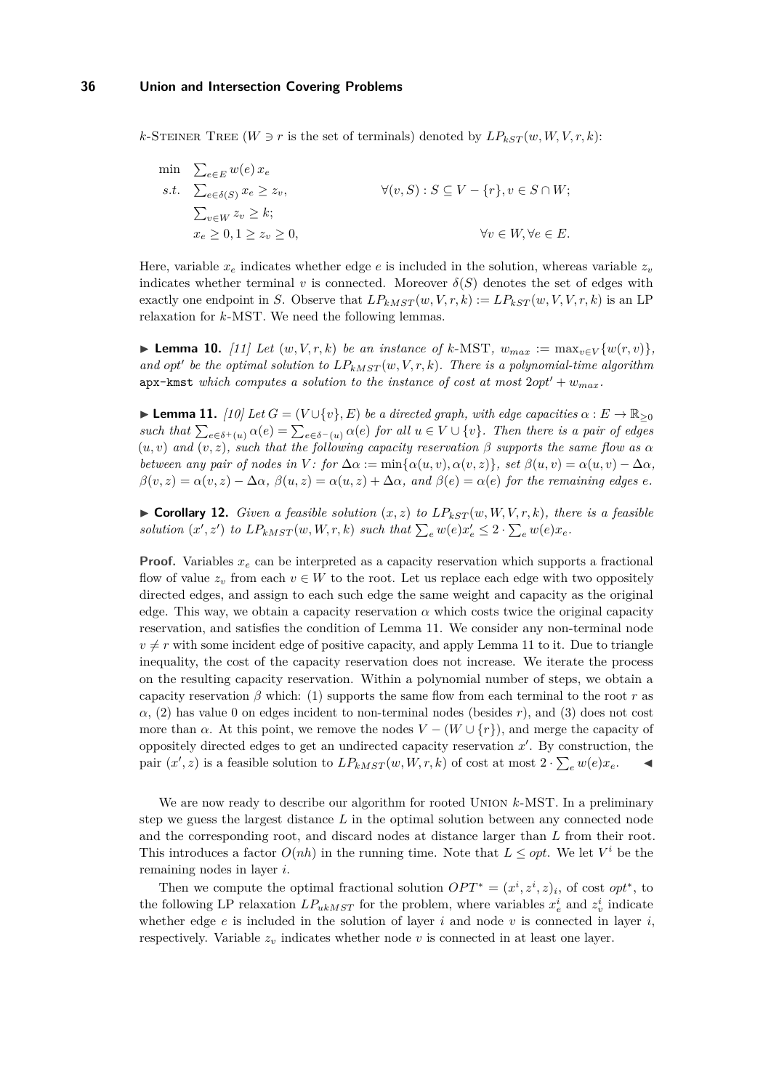*k*-STEINER TREE ( $W \ni r$  is the set of terminals) denoted by  $LP_{kST}(w, W, V, r, k)$ :

$$
\begin{aligned}\n\min \quad & \sum_{e \in E} w(e) \, x_e \\
\text{s.t.} \quad & \sum_{e \in \delta(S)} x_e \ge z_v, \\
& \sum_{v \in W} z_v \ge k; \\
& x_e \ge 0, 1 \ge z_v \ge 0, \\
\end{aligned}\n\quad \forall (v, S) : S \subseteq V - \{r\}, v \in S \cap W;
$$
\n
$$
\forall v \in W, \forall e \in E.
$$

Here, variable  $x_e$  indicates whether edge  $e$  is included in the solution, whereas variable  $z_v$ indicates whether terminal *v* is connected. Moreover  $\delta(S)$  denotes the set of edges with exactly one endpoint in *S*. Observe that  $LP_{kMST}(w, V, r, k) := LP_{kST}(w, V, V, r, k)$  is an LP relaxation for *k*-MST. We need the following lemmas.

<span id="page-8-1"></span>▶ Lemma 10. [\[11\]](#page-11-20) Let  $(w, V, r, k)$  be an instance of  $k$ -MST,  $w_{max} := \max_{v \in V} \{w(r, v)\},\$ and opt' be the optimal solution to  $LP_{kMST}(w, V, r, k)$ . There is a polynomial-time algorithm apx-kmst *which computes a solution to the instance of cost at most*  $2opt' + w_{max}$ *.* 

<span id="page-8-0"></span> $\blacktriangleright$  **Lemma 11.** *[\[10\]](#page-11-21) Let G* = (*V*∪{*v*}*, E*) *be a directed graph, with edge capacities*  $\alpha$  : *E* → R<sub>≥0</sub> *such that*  $\sum_{e \in \delta^+(u)} \alpha(e) = \sum_{e \in \delta^-(u)} \alpha(e)$  *for all*  $u \in V \cup \{v\}$ *. Then there is a pair of edges*  $(u, v)$  *and*  $(v, z)$ *, such that the following capacity reservation*  $\beta$  *supports the same flow as*  $\alpha$ *between any pair of nodes in*  $V$ : *for*  $\Delta \alpha := \min{\{\alpha(u, v), \alpha(v, z)\}}$ *, set*  $\beta(u, v) = \alpha(u, v) - \Delta \alpha$ *,*  $\beta(v, z) = \alpha(v, z) - \Delta\alpha$ ,  $\beta(u, z) = \alpha(u, z) + \Delta\alpha$ , and  $\beta(e) = \alpha(e)$  for the remaining edges *e*.

 $\triangleright$  **Corollary 12.** *Given a feasible solution*  $(x, z)$  *to*  $LP_{kST}(w, W, V, r, k)$ *, there is a feasible solution*  $(x', z')$  *to*  $LP_{kMST}(w, W, r, k)$  *such that*  $\sum_{e} w(e) x'_{e} \leq 2 \cdot \sum_{e} w(e) x_{e}$ .

**Proof.** Variables  $x_e$  can be interpreted as a capacity reservation which supports a fractional flow of value  $z_v$  from each  $v \in W$  to the root. Let us replace each edge with two oppositely directed edges, and assign to each such edge the same weight and capacity as the original edge. This way, we obtain a capacity reservation  $\alpha$  which costs twice the original capacity reservation, and satisfies the condition of Lemma [11.](#page-8-0) We consider any non-terminal node  $v \neq r$  with some incident edge of positive capacity, and apply Lemma [11](#page-8-0) to it. Due to triangle inequality, the cost of the capacity reservation does not increase. We iterate the process on the resulting capacity reservation. Within a polynomial number of steps, we obtain a capacity reservation  $\beta$  which: (1) supports the same flow from each terminal to the root *r* as  $\alpha$ , (2) has value 0 on edges incident to non-terminal nodes (besides *r*), and (3) does not cost more than  $\alpha$ . At this point, we remove the nodes  $V - (W \cup \{r\})$ , and merge the capacity of oppositely directed edges to get an undirected capacity reservation  $x'$ . By construction, the pair  $(x', z)$  is a feasible solution to  $LP_{kMST}(w, W, r, k)$  of cost at most  $2 \cdot \sum_{e} w(e)x_e$ .

We are now ready to describe our algorithm for rooted Union *k*-MST. In a preliminary step we guess the largest distance *L* in the optimal solution between any connected node and the corresponding root, and discard nodes at distance larger than *L* from their root. This introduces a factor  $O(nh)$  in the running time. Note that  $L \leq opt$ . We let  $V^i$  be the remaining nodes in layer *i*.

Then we compute the optimal fractional solution  $OPT^* = (x^i, z^i, z)_i$ , of cost *opt*<sup>\*</sup>, to the following LP relaxation  $LP_{ukMST}$  for the problem, where variables  $x_e^i$  and  $z_v^i$  indicate whether edge  $e$  is included in the solution of layer  $i$  and node  $v$  is connected in layer  $i$ , respectively. Variable  $z_v$  indicates whether node  $v$  is connected in at least one layer.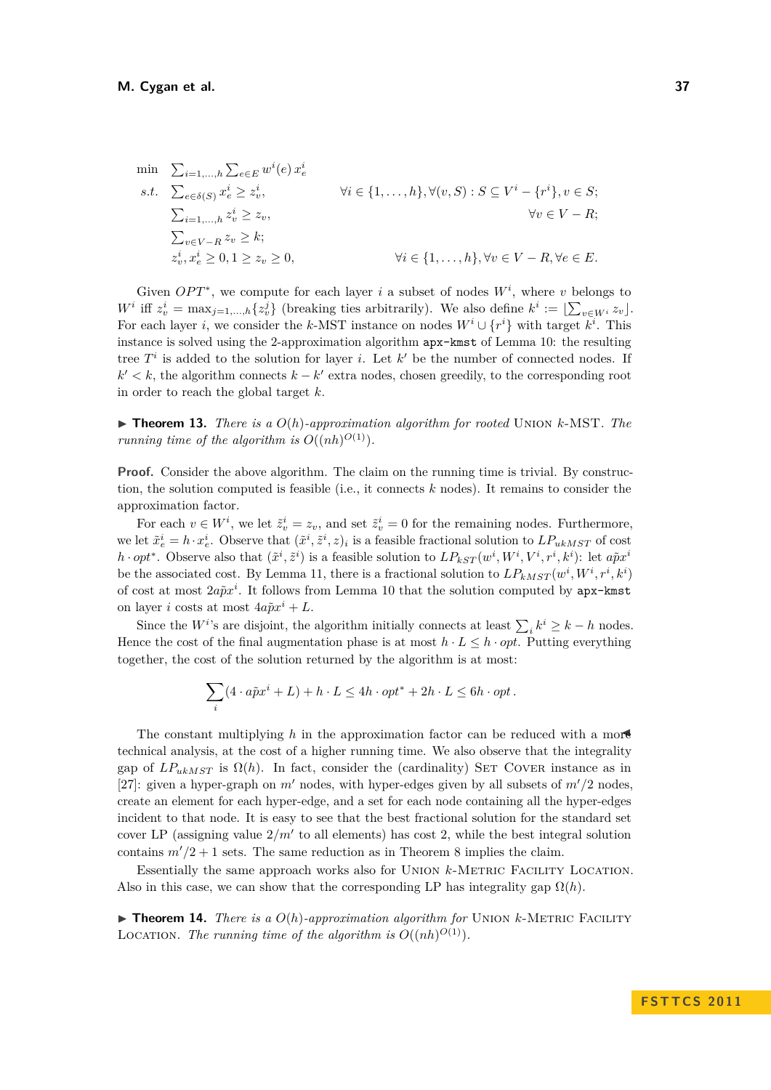$$
\begin{aligned}\n\min \quad & \sum_{i=1,\dots,h} \sum_{e \in E} w^i(e) \, x_e^i \\
\text{s.t.} \quad & \sum_{e \in \delta(S)} x_e^i \ge z_v^i, \\
& \sum_{i=1,\dots,h} z_v^i \ge z_v, \\
& \sum_{v \in V - R} z_v \ge k; \\
& z_v^i, x_e^i \ge 0, 1 \ge z_v \ge 0, \\
& \forall i \in \{1,\dots,h\}, \forall v \in V - R, \forall e \in E.\n\end{aligned}
$$

Given  $OPT^*$ , we compute for each layer *i* a subset of nodes  $W^i$ , where *v* belongs to  $W^i$  iff  $z^i_v = \max_{j=1,\dots,h} \{z^j_v\}$  (breaking ties arbitrarily). We also define  $k^i := \lfloor \sum_{v \in W^i} z_v \rfloor$ . For each layer *i*, we consider the *k*-MST instance on nodes  $W^i \cup \{r^i\}$  with target  $k^i$ . This instance is solved using the 2-approximation algorithm apx-kmst of Lemma [10:](#page-8-1) the resulting tree  $T^i$  is added to the solution for layer *i*. Let  $k'$  be the number of connected nodes. If  $k' < k$ , the algorithm connects  $k - k'$  extra nodes, chosen greedily, to the corresponding root in order to reach the global target *k*.

 $\triangleright$  **Theorem 13.** *There is a*  $O(h)$ *-approximation algorithm for rooted* UNION *k*-MST*. The running time of the algorithm is*  $O((nh)^{O(1)})$ .

**Proof.** Consider the above algorithm. The claim on the running time is trivial. By construction, the solution computed is feasible (i.e., it connects *k* nodes). It remains to consider the approximation factor.

For each  $v \in W^i$ , we let  $\tilde{z}^i_v = z_v$ , and set  $\tilde{z}^i_v = 0$  for the remaining nodes. Furthermore, we let  $\tilde{x}_e^i = h \cdot x_e^i$ . Observe that  $(\tilde{x}^i, \tilde{z}^i, z)_i$  is a feasible fractional solution to  $LP_{ukMST}$  of cost  $h \cdot opt^*$ . Observe also that  $(\tilde{x}^i, \tilde{z}^i)$  is a feasible solution to  $LP_{kST}(w^i, W^i, V^i, r^i, k^i)$ : let  $a\tilde{p}x^i$ be the associated cost. By Lemma [11,](#page-8-0) there is a fractional solution to  $LP_{kMST}(w^i, W^i, r^i, k^i)$ of cost at most  $2a\tilde{p}x^i$ . It follows from Lemma [10](#page-8-1) that the solution computed by apx-kmst on layer *i* costs at most  $4a\tilde{p}x^{i} + L$ .

Since the *W*<sup>*i*</sup>'s are disjoint, the algorithm initially connects at least  $\sum_i k^i \geq k - h$  nodes. Hence the cost of the final augmentation phase is at most  $h \cdot L \leq h \cdot opt$ . Putting everything together, the cost of the solution returned by the algorithm is at most:

$$
\sum_{i} (4 \cdot a\tilde{p}x^{i} + L) + h \cdot L \le 4h \cdot opt^* + 2h \cdot L \le 6h \cdot opt.
$$

The constant multiplying  $h$  in the approximation factor can be reduced with a more technical analysis, at the cost of a higher running time. We also observe that the integrality gap of  $LP_{ukMST}$  is  $\Omega(h)$ . In fact, consider the (cardinality) SET COVER instance as in [\[27\]](#page-12-5): given a hyper-graph on  $m'$  nodes, with hyper-edges given by all subsets of  $m'/2$  nodes, create an element for each hyper-edge, and a set for each node containing all the hyper-edges incident to that node. It is easy to see that the best fractional solution for the standard set cover LP (assigning value  $2/m'$  to all elements) has cost 2, while the best integral solution contains  $m^{\prime}/2 + 1$  sets. The same reduction as in Theorem [8](#page-7-0) implies the claim.

Essentially the same approach works also for Union *k*-Metric Facility Location. Also in this case, we can show that the corresponding LP has integrality gap  $\Omega(h)$ .

**Findmer 14.** *There is a*  $O(h)$ *-approximation algorithm for* UNION  $k$ -METRIC FACILITY LOCATION. The running time of the algorithm is  $O((nh)^{O(1)})$ .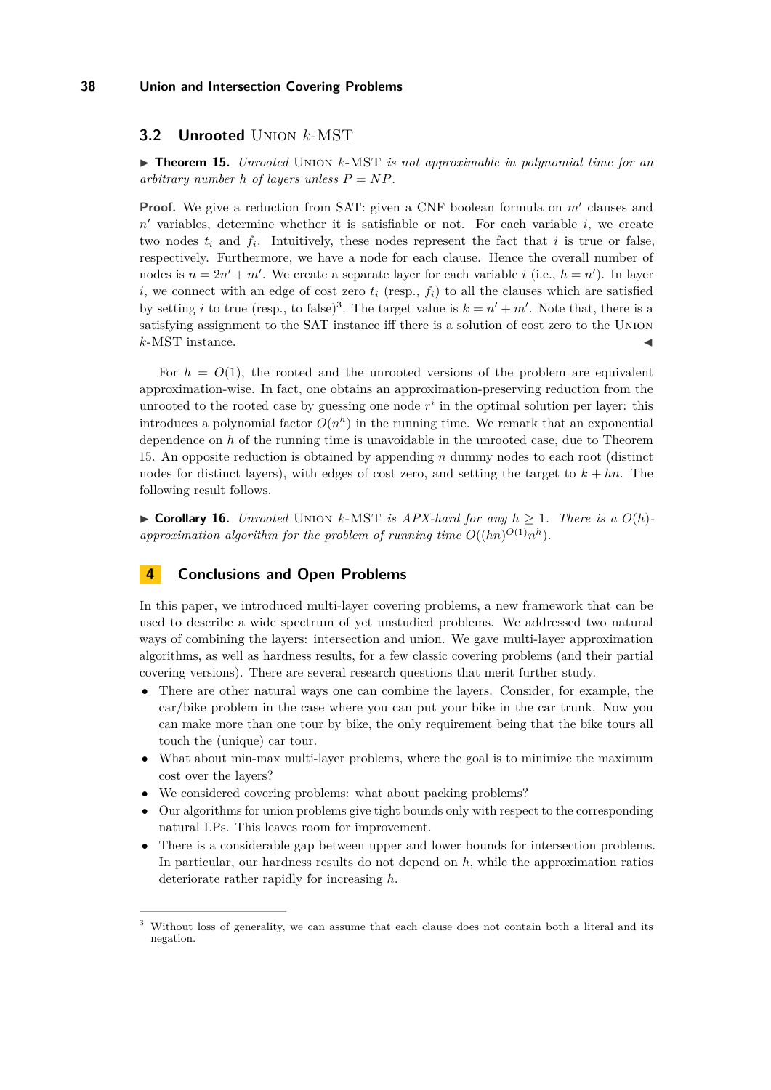# **3.2 Unrooted** Union *k*-MST

<span id="page-10-0"></span>▶ **Theorem 15.** *Unrooted* UNION *k*-MST *is not approximable in polynomial time for an arbitrary number h of layers unless*  $P = NP$ *.* 

**Proof.** We give a reduction from SAT: given a CNF boolean formula on  $m'$  clauses and  $n'$  variables, determine whether it is satisfiable or not. For each variable  $i$ , we create two nodes  $t_i$  and  $f_i$ . Intuitively, these nodes represent the fact that  $i$  is true or false, respectively. Furthermore, we have a node for each clause. Hence the overall number of nodes is  $n = 2n' + m'$ . We create a separate layer for each variable *i* (i.e.,  $h = n'$ ). In layer *i*, we connect with an edge of cost zero  $t_i$  (resp.,  $f_i$ ) to all the clauses which are satisfied by setting *i* to true (resp., to false)<sup>3</sup>. The target value is  $k = n' + m'$ . Note that, there is a satisfying assignment to the SAT instance iff there is a solution of cost zero to the Union  $k$ -MST instance.

For  $h = O(1)$ , the rooted and the unrooted versions of the problem are equivalent approximation-wise. In fact, one obtains an approximation-preserving reduction from the unrooted to the rooted case by guessing one node  $r^i$  in the optimal solution per layer: this introduces a polynomial factor  $O(n^h)$  in the running time. We remark that an exponential dependence on *h* of the running time is unavoidable in the unrooted case, due to Theorem [15.](#page-10-0) An opposite reduction is obtained by appending *n* dummy nodes to each root (distinct nodes for distinct layers), with edges of cost zero, and setting the target to *k* + *hn*. The following result follows.

▶ **Corollary 16.** *Unrooted* UNION *k*-MST *is APX-hard for any*  $h$  > 1*. There is a*  $O(h)$ approximation algorithm for the problem of running time  $O((hn)^{O(1)}n^h)$ .

# **4 Conclusions and Open Problems**

In this paper, we introduced multi-layer covering problems, a new framework that can be used to describe a wide spectrum of yet unstudied problems. We addressed two natural ways of combining the layers: intersection and union. We gave multi-layer approximation algorithms, as well as hardness results, for a few classic covering problems (and their partial covering versions). There are several research questions that merit further study.

- There are other natural ways one can combine the layers. Consider, for example, the car/bike problem in the case where you can put your bike in the car trunk. Now you can make more than one tour by bike, the only requirement being that the bike tours all touch the (unique) car tour.
- What about min-max multi-layer problems, where the goal is to minimize the maximum cost over the layers?
- We considered covering problems: what about packing problems?
- Our algorithms for union problems give tight bounds only with respect to the corresponding natural LPs. This leaves room for improvement.
- There is a considerable gap between upper and lower bounds for intersection problems. In particular, our hardness results do not depend on *h*, while the approximation ratios deteriorate rather rapidly for increasing *h*.

<sup>&</sup>lt;sup>3</sup> Without loss of generality, we can assume that each clause does not contain both a literal and its negation.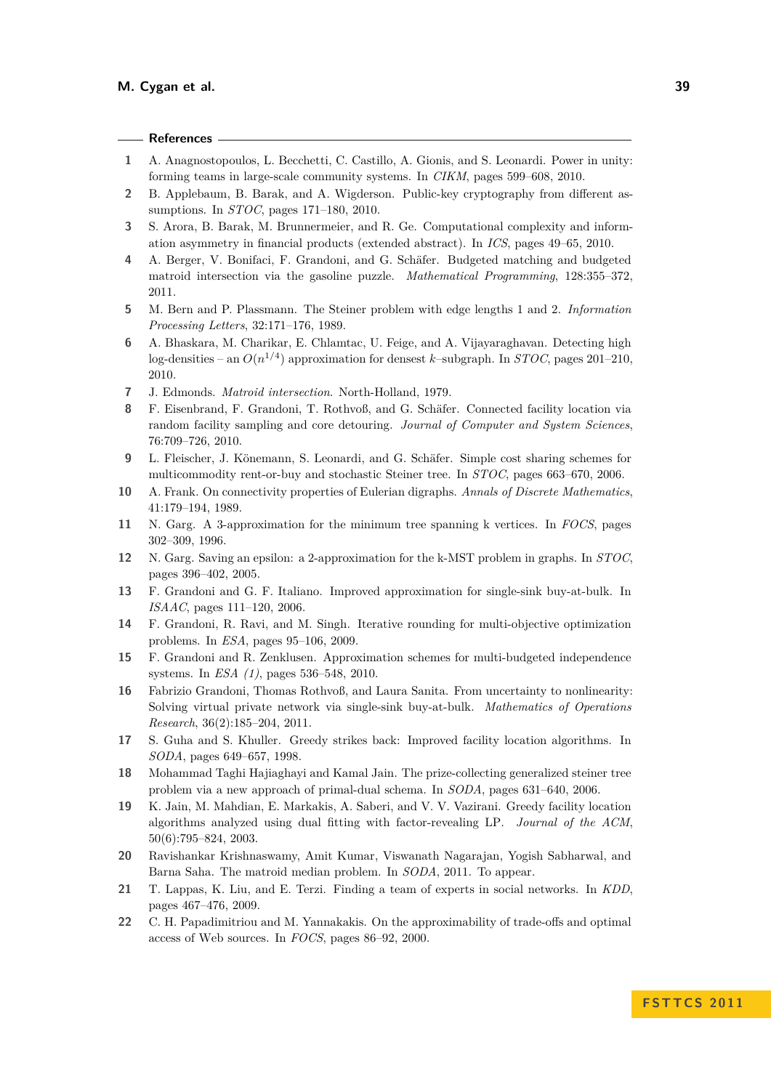## **References**

- <span id="page-11-4"></span>**1** A. Anagnostopoulos, L. Becchetti, C. Castillo, A. Gionis, and S. Leonardi. Power in unity: forming teams in large-scale community systems. In *CIKM*, pages 599–608, 2010.
- <span id="page-11-1"></span>**2** B. Applebaum, B. Barak, and A. Wigderson. Public-key cryptography from different assumptions. In *STOC*, pages 171–180, 2010.
- <span id="page-11-2"></span>**3** S. Arora, B. Barak, M. Brunnermeier, and R. Ge. Computational complexity and information asymmetry in financial products (extended abstract). In *ICS*, pages 49–65, 2010.
- <span id="page-11-6"></span>**4** A. Berger, V. Bonifaci, F. Grandoni, and G. Schäfer. Budgeted matching and budgeted matroid intersection via the gasoline puzzle. *Mathematical Programming*, 128:355–372, 2011.
- <span id="page-11-19"></span>**5** M. Bern and P. Plassmann. The Steiner problem with edge lengths 1 and 2. *Information Processing Letters*, 32:171–176, 1989.
- <span id="page-11-0"></span>**6** A. Bhaskara, M. Charikar, E. Chlamtac, U. Feige, and A. Vijayaraghavan. Detecting high log-densities – an  $O(n^{1/4})$  approximation for densest *k*-subgraph. In *STOC*, pages 201–210, 2010.
- <span id="page-11-3"></span>**7** J. Edmonds. *Matroid intersection*. North-Holland, 1979.
- <span id="page-11-12"></span>**8** F. Eisenbrand, F. Grandoni, T. Rothvoß, and G. Schäfer. Connected facility location via random facility sampling and core detouring. *Journal of Computer and System Sciences*, 76:709–726, 2010.
- <span id="page-11-13"></span>**9** L. Fleischer, J. Könemann, S. Leonardi, and G. Schäfer. Simple cost sharing schemes for multicommodity rent-or-buy and stochastic Steiner tree. In *STOC*, pages 663–670, 2006.
- <span id="page-11-21"></span>**10** A. Frank. On connectivity properties of Eulerian digraphs. *Annals of Discrete Mathematics*, 41:179–194, 1989.
- <span id="page-11-20"></span>**11** N. Garg. A 3-approximation for the minimum tree spanning k vertices. In *FOCS*, pages 302–309, 1996.
- <span id="page-11-10"></span>**12** N. Garg. Saving an epsilon: a 2-approximation for the k-MST problem in graphs. In *STOC*, pages 396–402, 2005.
- <span id="page-11-14"></span>**13** F. Grandoni and G. F. Italiano. Improved approximation for single-sink buy-at-bulk. In *ISAAC*, pages 111–120, 2006.
- <span id="page-11-7"></span>**14** F. Grandoni, R. Ravi, and M. Singh. Iterative rounding for multi-objective optimization problems. In *ESA*, pages 95–106, 2009.
- <span id="page-11-8"></span>**15** F. Grandoni and R. Zenklusen. Approximation schemes for multi-budgeted independence systems. In *ESA (1)*, pages 536–548, 2010.
- <span id="page-11-15"></span>**16** Fabrizio Grandoni, Thomas Rothvoß, and Laura Sanita. From uncertainty to nonlinearity: Solving virtual private network via single-sink buy-at-bulk. *Mathematics of Operations Research*, 36(2):185–204, 2011.
- <span id="page-11-18"></span>**17** S. Guha and S. Khuller. Greedy strikes back: Improved facility location algorithms. In *SODA*, pages 649–657, 1998.
- <span id="page-11-17"></span>**18** Mohammad Taghi Hajiaghayi and Kamal Jain. The prize-collecting generalized steiner tree problem via a new approach of primal-dual schema. In *SODA*, pages 631–640, 2006.
- <span id="page-11-11"></span>**19** K. Jain, M. Mahdian, E. Markakis, A. Saberi, and V. V. Vazirani. Greedy facility location algorithms analyzed using dual fitting with factor-revealing LP. *Journal of the ACM*, 50(6):795–824, 2003.
- <span id="page-11-16"></span>**20** Ravishankar Krishnaswamy, Amit Kumar, Viswanath Nagarajan, Yogish Sabharwal, and Barna Saha. The matroid median problem. In *SODA*, 2011. To appear.
- <span id="page-11-5"></span>**21** T. Lappas, K. Liu, and E. Terzi. Finding a team of experts in social networks. In *KDD*, pages 467–476, 2009.
- <span id="page-11-9"></span>**22** C. H. Papadimitriou and M. Yannakakis. On the approximability of trade-offs and optimal access of Web sources. In *FOCS*, pages 86–92, 2000.